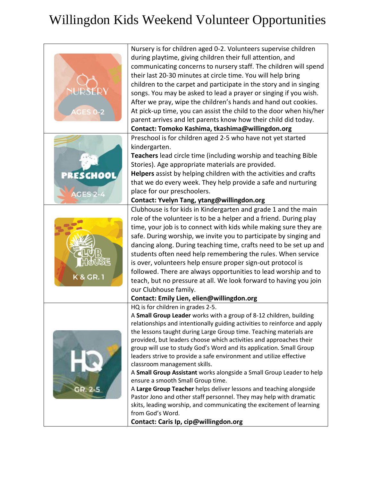## Willingdon Kids Weekend Volunteer Opportunities

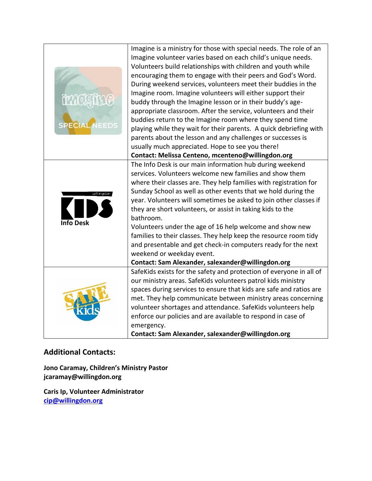| imck<br>SPECIAL  | Imagine is a ministry for those with special needs. The role of an<br>Imagine volunteer varies based on each child's unique needs.<br>Volunteers build relationships with children and youth while<br>encouraging them to engage with their peers and God's Word.<br>During weekend services, volunteers meet their buddies in the<br>Imagine room. Imagine volunteers will either support their<br>buddy through the Imagine lesson or in their buddy's age-                                                                                                                                                                                                                                |
|------------------|----------------------------------------------------------------------------------------------------------------------------------------------------------------------------------------------------------------------------------------------------------------------------------------------------------------------------------------------------------------------------------------------------------------------------------------------------------------------------------------------------------------------------------------------------------------------------------------------------------------------------------------------------------------------------------------------|
|                  | appropriate classroom. After the service, volunteers and their<br>buddies return to the Imagine room where they spend time                                                                                                                                                                                                                                                                                                                                                                                                                                                                                                                                                                   |
|                  | playing while they wait for their parents. A quick debriefing with<br>parents about the lesson and any challenges or successes is<br>usually much appreciated. Hope to see you there!                                                                                                                                                                                                                                                                                                                                                                                                                                                                                                        |
|                  | Contact: Melissa Centeno, mcenteno@willingdon.org                                                                                                                                                                                                                                                                                                                                                                                                                                                                                                                                                                                                                                            |
| <b>Info Desk</b> | The Info Desk is our main information hub during weekend<br>services. Volunteers welcome new families and show them<br>where their classes are. They help families with registration for<br>Sunday School as well as other events that we hold during the<br>year. Volunteers will sometimes be asked to join other classes if<br>they are short volunteers, or assist in taking kids to the<br>bathroom.<br>Volunteers under the age of 16 help welcome and show new<br>families to their classes. They help keep the resource room tidy<br>and presentable and get check-in computers ready for the next<br>weekend or weekday event.<br>Contact: Sam Alexander, salexander@willingdon.org |
|                  | SafeKids exists for the safety and protection of everyone in all of<br>our ministry areas. SafeKids volunteers patrol kids ministry<br>spaces during services to ensure that kids are safe and ratios are<br>met. They help communicate between ministry areas concerning<br>volunteer shortages and attendance. SafeKids volunteers help<br>enforce our policies and are available to respond in case of<br>emergency.<br>Contact: Sam Alexander, salexander@willingdon.org                                                                                                                                                                                                                 |

## **Additional Contacts:**

**Jono Caramay, Children's Ministry Pastor jcaramay@willingdon.org**

**Caris Ip, Volunteer Administrator [cip@willingdon.org](mailto:cip@willingdon.org)**